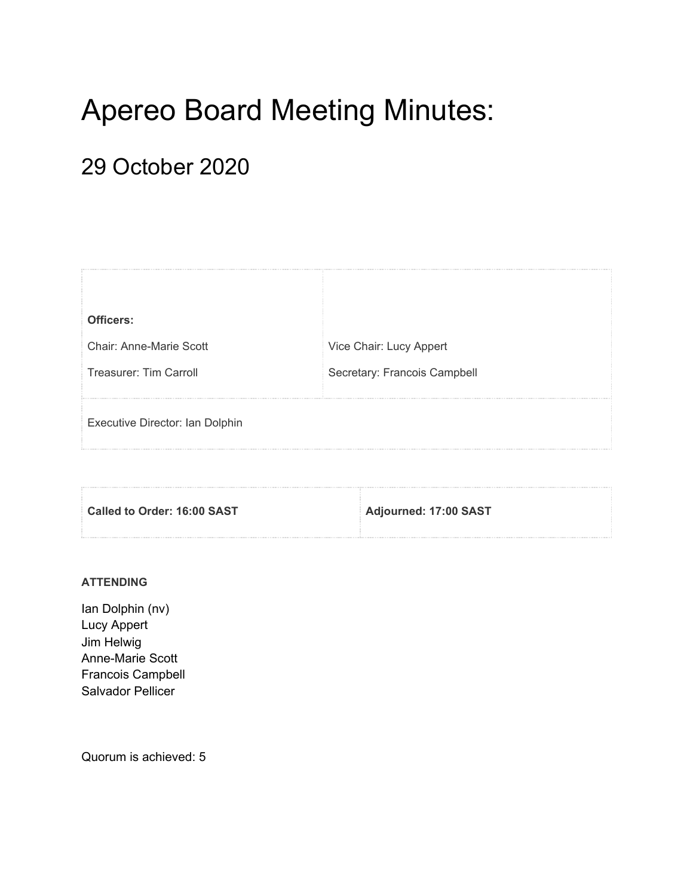# Apereo Board Meeting Minutes:

# 29 October 2020

| Officers:                       |                              |
|---------------------------------|------------------------------|
| Chair: Anne-Marie Scott         | Vice Chair: Lucy Appert      |
| Treasurer: Tim Carroll          | Secretary: Francois Campbell |
| Executive Director: Ian Dolphin |                              |

| Called to Order: 16:00 SAST | Adjourned: 17:00 SAST |
|-----------------------------|-----------------------|
|                             |                       |

### **ATTENDING**

Ian Dolphin (nv) Lucy Appert Jim Helwig Anne-Marie Scott Francois Campbell Salvador Pellicer

Quorum is achieved: 5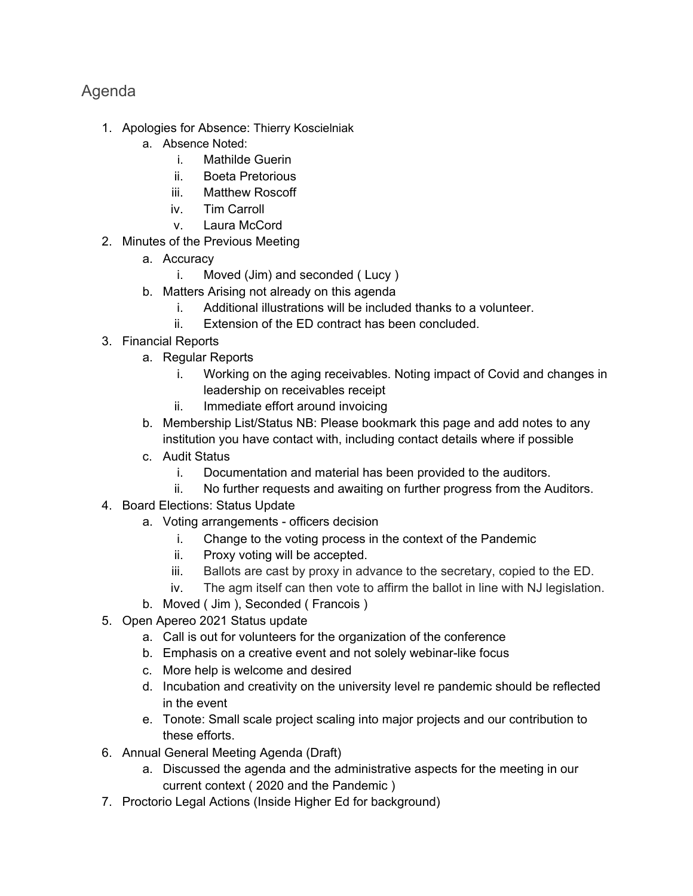# Agenda

- 1. Apologies for Absence: Thierry Koscielniak
	- a. Absence Noted:
		- i. Mathilde Guerin
		- ii. Boeta Pretorious
		- iii. Matthew Roscoff
		- iv. Tim Carroll
		- v. Laura McCord
- 2. Minutes of the Previous Meeting
	- a. Accuracy
		- i. Moved (Jim) and seconded ( Lucy )
	- b. Matters Arising not already on this agenda
		- i. Additional illustrations will be included thanks to a volunteer.
		- ii. Extension of the ED contract has been concluded.
- 3. Financial Reports
	- a. Regular Reports
		- i. Working on the aging receivables. Noting impact of Covid and changes in leadership on receivables receipt
		- ii. Immediate effort around invoicing
	- b. Membership List/Status NB: Please bookmark this page and add notes to any institution you have contact with, including contact details where if possible
	- c. Audit Status
		- i. Documentation and material has been provided to the auditors.
		- ii. No further requests and awaiting on further progress from the Auditors.
- 4. Board Elections: Status Update
	- a. Voting arrangements officers decision
		- i. Change to the voting process in the context of the Pandemic
		- ii. Proxy voting will be accepted.
		- iii. Ballots are cast by proxy in advance to the secretary, copied to the ED.
		- iv. The agm itself can then vote to affirm the ballot in line with NJ legislation.
	- b. Moved ( Jim ), Seconded ( Francois )
- 5. Open Apereo 2021 Status update
	- a. Call is out for volunteers for the organization of the conference
	- b. Emphasis on a creative event and not solely webinar-like focus
	- c. More help is welcome and desired
	- d. Incubation and creativity on the university level re pandemic should be reflected in the event
	- e. Tonote: Small scale project scaling into major projects and our contribution to these efforts.
- 6. Annual General Meeting Agenda (Draft)
	- a. Discussed the agenda and the administrative aspects for the meeting in our current context ( 2020 and the Pandemic )
- 7. Proctorio Legal Actions (Inside Higher Ed for background)